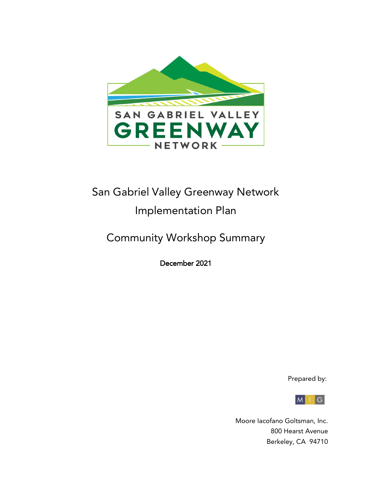

# San Gabriel Valley Greenway Network Implementation Plan

Community Workshop Summary

December 2021

Prepared by:



 Moore Iacofano Goltsman, Inc. 800 Hearst Avenue Berkeley, CA 94710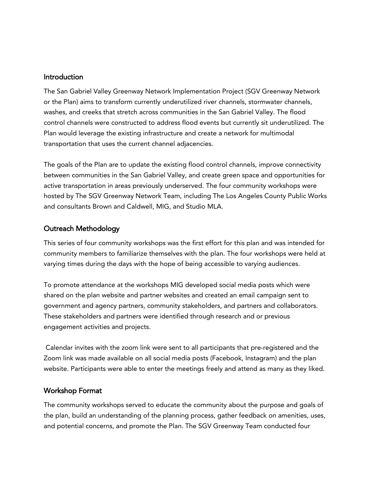#### Introduction

The San Gabriel Valley Greenway Network Implementation Project (SGV Greenway Network or the Plan) aims to transform currently underutilized river channels, stormwater channels, washes, and creeks that stretch across communities in the San Gabriel Valley. The flood control channels were constructed to address flood events but currently sit underutilized. The Plan would leverage the existing infrastructure and create a network for multimodal transportation that uses the current channel adjacencies.

The goals of the Plan are to update the existing flood control channels, improve connectivity between communities in the San Gabriel Valley, and create green space and opportunities for active transportation in areas previously underserved. The four community workshops were hosted by The SGV Greenway Network Team, including The Los Angeles County Public Works and consultants Brown and Caldwell, MIG, and Studio MLA.

## Outreach Methodology

This series of four community workshops was the first effort for this plan and was intended for community members to familiarize themselves with the plan. The four workshops were held at varying times during the days with the hope of being accessible to varying audiences.

To promote attendance at the workshops MIG developed social media posts which were shared on the plan website and partner websites and created an email campaign sent to government and agency partners, community stakeholders, and partners and collaborators. These stakeholders and partners were identified through research and or previous engagement activities and projects.

Calendar invites with the zoom link were sent to all participants that pre-registered and the Zoom link was made available on all social media posts (Facebook, Instagram) and the plan website. Participants were able to enter the meetings freely and attend as many as they liked.

### Workshop Format

The community workshops served to educate the community about the purpose and goals of the plan, build an understanding of the planning process, gather feedback on amenities, uses, and potential concerns, and promote the Plan. The SGV Greenway Team conducted four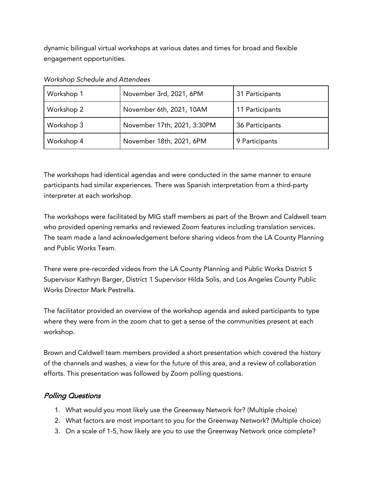dynamic bilingual virtual workshops at various dates and times for broad and flexible engagement opportunities.

| Workshop 1 | November 3rd, 2021, 6PM     | 31 Participants |
|------------|-----------------------------|-----------------|
| Workshop 2 | November 6th, 2021, 10AM    | 11 Participants |
| Workshop 3 | November 17th, 2021, 3:30PM | 36 Participants |
| Workshop 4 | November 18th, 2021, 6PM    | 9 Participants  |

*Workshop Schedule and Attendees*

The workshops had identical agendas and were conducted in the same manner to ensure participants had similar experiences. There was Spanish interpretation from a third-party interpreter at each workshop.

The workshops were facilitated by MIG staff members as part of the Brown and Caldwell team who provided opening remarks and reviewed Zoom features including translation services. The team made a land acknowledgement before sharing videos from the LA County Planning and Public Works Team.

There were pre-recorded videos from the LA County Planning and Public Works District 5 Supervisor Kathryn Barger, District 1 Supervisor Hilda Solis, and Los Angeles County Public Works Director Mark Pestrella.

The facilitator provided an overview of the workshop agenda and asked participants to type where they were from in the zoom chat to get a sense of the communities present at each workshop.

Brown and Caldwell team members provided a short presentation which covered the history of the channels and washes, a view for the future of this area, and a review of collaboration efforts. This presentation was followed by Zoom polling questions.

## Polling Questions

- 1. What would you most likely use the Greenway Network for? (Multiple choice)
- 2. What factors are most important to you for the Greenway Network? (Multiple choice)
- 3. On a scale of 1-5, how likely are you to use the Greenway Network once complete?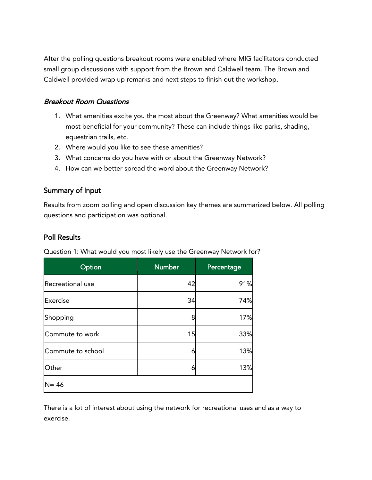After the polling questions breakout rooms were enabled where MIG facilitators conducted small group discussions with support from the Brown and Caldwell team. The Brown and Caldwell provided wrap up remarks and next steps to finish out the workshop.

## Breakout Room Questions

- 1. What amenities excite you the most about the Greenway? What amenities would be most beneficial for your community? These can include things like parks, shading, equestrian trails, etc.
- 2. Where would you like to see these amenities?
- 3. What concerns do you have with or about the Greenway Network?
- 4. How can we better spread the word about the Greenway Network?

## Summary of Input

Results from zoom polling and open discussion key themes are summarized below. All polling questions and participation was optional.

## Poll Results

| Option            | <b>Number</b> | Percentage |
|-------------------|---------------|------------|
| Recreational use  | 42            | 91%        |
| Exercise          | 34            | 74%        |
| Shopping          | 8             | 17%        |
| Commute to work   | 15            | 33%        |
| Commute to school | 6             | 13%        |
| Other             | 6             | 13%        |
| $N = 46$          |               |            |

Question 1: What would you most likely use the Greenway Network for?

There is a lot of interest about using the network for recreational uses and as a way to exercise.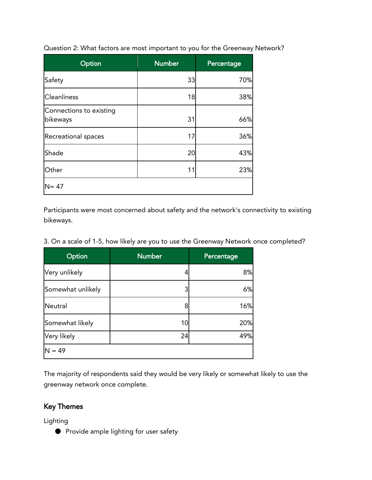| Option                              | <b>Number</b> | Percentage |
|-------------------------------------|---------------|------------|
| Safety                              | 33            | 70%        |
| <b>Cleanliness</b>                  | 18            | 38%        |
| Connections to existing<br>bikeways | 31            | 66%        |
| Recreational spaces                 | 17            | 36%        |
| Shade                               | 20            | 43%        |
| Other                               | 11            | 23%        |
| $N = 47$                            |               |            |

Question 2: What factors are most important to you for the Greenway Network?

Participants were most concerned about safety and the network's connectivity to existing bikeways.

|  |  |  |  |  |  |  |  | 3. On a scale of 1-5, how likely are you to use the Greenway Network once completed? |
|--|--|--|--|--|--|--|--|--------------------------------------------------------------------------------------|
|--|--|--|--|--|--|--|--|--------------------------------------------------------------------------------------|

| Option            | <b>Number</b> | Percentage |
|-------------------|---------------|------------|
| Very unlikely     |               | 8%         |
| Somewhat unlikely |               | 6%         |
| Neutral           |               | 16%        |
| Somewhat likely   | 10            | 20%        |
| Very likely       | 24            | 49%        |
| $N = 49$          |               |            |

The majority of respondents said they would be very likely or somewhat likely to use the greenway network once complete.

## Key Themes

Lighting

● Provide ample lighting for user safety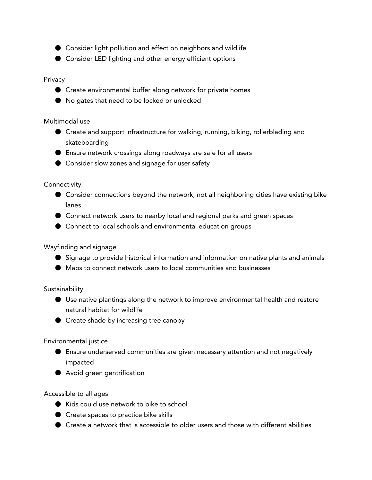- Consider light pollution and effect on neighbors and wildlife
- Consider LED lighting and other energy efficient options

#### Privacy

- Create environmental buffer along network for private homes
- No gates that need to be locked or unlocked

#### Multimodal use

- Create and support infrastructure for walking, running, biking, rollerblading and skateboarding
- Ensure network crossings along roadways are safe for all users
- Consider slow zones and signage for user safety

#### **Connectivity**

- Consider connections beyond the network, not all neighboring cities have existing bike lanes
- Connect network users to nearby local and regional parks and green spaces
- Connect to local schools and environmental education groups

### Wayfinding and signage

- Signage to provide historical information and information on native plants and animals
- Maps to connect network users to local communities and businesses

#### **Sustainability**

- Use native plantings along the network to improve environmental health and restore natural habitat for wildlife
- Create shade by increasing tree canopy

### Environmental justice

- Ensure underserved communities are given necessary attention and not negatively impacted
- Avoid green gentrification

### Accessible to all ages

- Kids could use network to bike to school
- Create spaces to practice bike skills
- Create a network that is accessible to older users and those with different abilities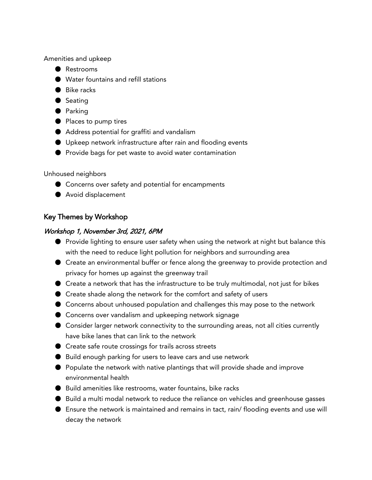Amenities and upkeep

- Restrooms
- Water fountains and refill stations
- Bike racks
- Seating
- Parking
- Places to pump tires
- Address potential for graffiti and vandalism
- Upkeep network infrastructure after rain and flooding events
- Provide bags for pet waste to avoid water contamination

Unhoused neighbors

- Concerns over safety and potential for encampments
- Avoid displacement

## Key Themes by Workshop

#### Workshop 1, November 3rd, 2021, 6PM

- Provide lighting to ensure user safety when using the network at night but balance this with the need to reduce light pollution for neighbors and surrounding area
- Create an environmental buffer or fence along the greenway to provide protection and privacy for homes up against the greenway trail
- Create a network that has the infrastructure to be truly multimodal, not just for bikes
- Create shade along the network for the comfort and safety of users
- Concerns about unhoused population and challenges this may pose to the network
- Concerns over vandalism and upkeeping network signage
- Consider larger network connectivity to the surrounding areas, not all cities currently have bike lanes that can link to the network
- Create safe route crossings for trails across streets
- Build enough parking for users to leave cars and use network
- Populate the network with native plantings that will provide shade and improve environmental health
- Build amenities like restrooms, water fountains, bike racks
- Build a multi modal network to reduce the reliance on vehicles and greenhouse gasses
- Ensure the network is maintained and remains in tact, rain/ flooding events and use will decay the network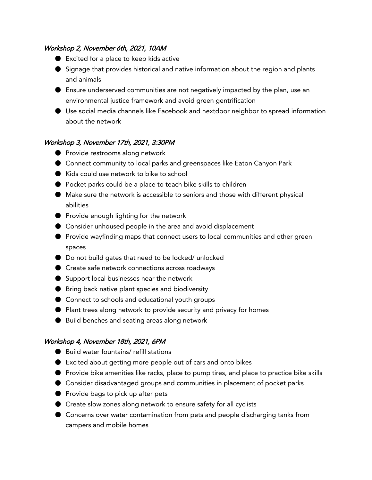## Workshop 2, November 6th, 2021, 10AM

- Excited for a place to keep kids active
- Signage that provides historical and native information about the region and plants and animals
- Ensure underserved communities are not negatively impacted by the plan, use an environmental justice framework and avoid green gentrification
- Use social media channels like Facebook and nextdoor neighbor to spread information about the network

## Workshop 3, November 17th, 2021, 3:30PM

- Provide restrooms along network
- Connect community to local parks and greenspaces like Eaton Canyon Park
- Kids could use network to bike to school
- Pocket parks could be a place to teach bike skills to children
- Make sure the network is accessible to seniors and those with different physical abilities
- Provide enough lighting for the network
- Consider unhoused people in the area and avoid displacement
- Provide wayfinding maps that connect users to local communities and other green spaces
- Do not build gates that need to be locked/ unlocked
- Create safe network connections across roadways
- Support local businesses near the network
- Bring back native plant species and biodiversity
- Connect to schools and educational youth groups
- Plant trees along network to provide security and privacy for homes
- Build benches and seating areas along network

## Workshop 4, November 18th, 2021, 6PM

- Build water fountains/ refill stations
- Excited about getting more people out of cars and onto bikes
- Provide bike amenities like racks, place to pump tires, and place to practice bike skills
- Consider disadvantaged groups and communities in placement of pocket parks
- Provide bags to pick up after pets
- Create slow zones along network to ensure safety for all cyclists
- Concerns over water contamination from pets and people discharging tanks from campers and mobile homes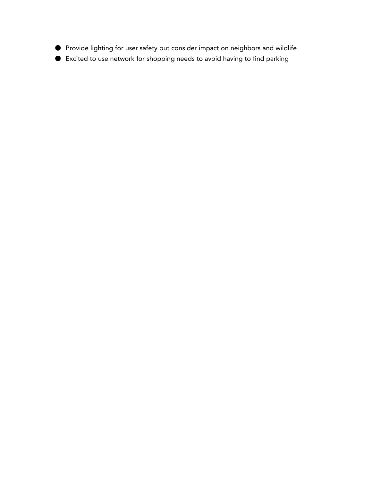- Provide lighting for user safety but consider impact on neighbors and wildlife
- Excited to use network for shopping needs to avoid having to find parking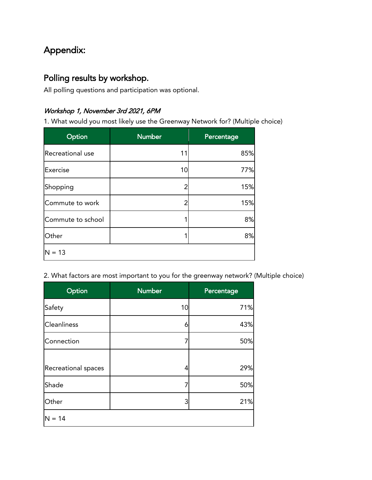## Appendix:

## Polling results by workshop.

All polling questions and participation was optional.

## Workshop 1, November 3rd 2021, 6PM

1. What would you most likely use the Greenway Network for? (Multiple choice)

| Option            | <b>Number</b> | Percentage |
|-------------------|---------------|------------|
| Recreational use  | 11            | 85%        |
| Exercise          | 10            | 77%        |
| Shopping          | 2             | 15%        |
| Commute to work   | 2             | 15%        |
| Commute to school |               | 8%         |
| Other             |               | 8%         |
| $N = 13$          |               |            |

2. What factors are most important to you for the greenway network? (Multiple choice)

| Option              | <b>Number</b> | Percentage |
|---------------------|---------------|------------|
| Safety              | 10            | 71%        |
| <b>Cleanliness</b>  | 6             | 43%        |
| Connection          |               | 50%        |
|                     |               |            |
| Recreational spaces | 4             | 29%        |
| Shade               | 7             | 50%        |
| Other               | 3             | 21%        |
| $N = 14$            |               |            |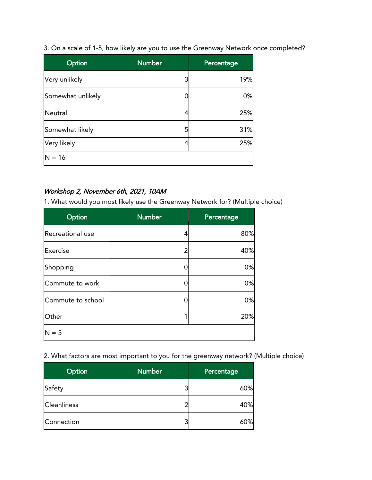3. On a scale of 1-5, how likely are you to use the Greenway Network once completed?

| Option            | <b>Number</b> | Percentage |
|-------------------|---------------|------------|
| Very unlikely     | 3             | 19%        |
| Somewhat unlikely |               | 0%         |
| Neutral           |               | 25%        |
| Somewhat likely   | 5             | 31%        |
| Very likely       |               | 25%        |
| $N = 16$          |               |            |

## Workshop 2, November 6th, 2021, 10AM

1. What would you most likely use the Greenway Network for? (Multiple choice)

| Option            | <b>Number</b> | Percentage |
|-------------------|---------------|------------|
| Recreational use  | 4             | 80%        |
| Exercise          |               | 40%        |
| Shopping          |               | 0%         |
| Commute to work   |               | 0%         |
| Commute to school |               | 0%         |
| Other             |               | 20%        |
| $N = 5$           |               |            |

2. What factors are most important to you for the greenway network? (Multiple choice)

| Option             | <b>Number</b> | Percentage |
|--------------------|---------------|------------|
| Safety             |               | 60%        |
| <b>Cleanliness</b> |               | 40%        |
| Connection         |               | 60%        |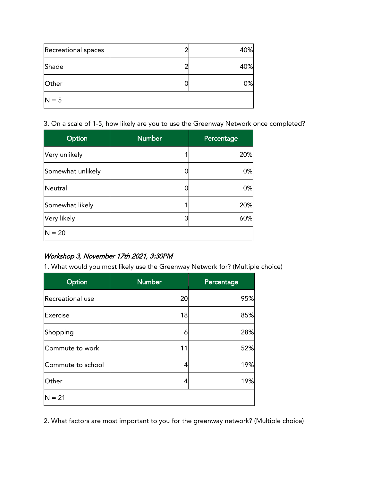| Recreational spaces | 40% |
|---------------------|-----|
| Shade               | 40% |
| Other               | 0%  |
| $N = 5$             |     |

3. On a scale of 1-5, how likely are you to use the Greenway Network once completed?

| <b>Option</b>     | <b>Number</b> | Percentage |
|-------------------|---------------|------------|
| Very unlikely     |               | 20%        |
| Somewhat unlikely |               | 0%         |
| Neutral           |               | 0%         |
| Somewhat likely   |               | 20%        |
| Very likely       | 3             | 60%        |
| $N = 20$          |               |            |

## Workshop 3, November 17th 2021, 3:30PM

1. What would you most likely use the Greenway Network for? (Multiple choice)

| Option            | <b>Number</b> | Percentage |
|-------------------|---------------|------------|
| Recreational use  | 20            | 95%        |
| Exercise          | 18            | 85%        |
| Shopping          | 6             | 28%        |
| Commute to work   | 11            | 52%        |
| Commute to school | 4             | 19%        |
| Other             | 4             | 19%        |
| $N = 21$          |               |            |

2. What factors are most important to you for the greenway network? (Multiple choice)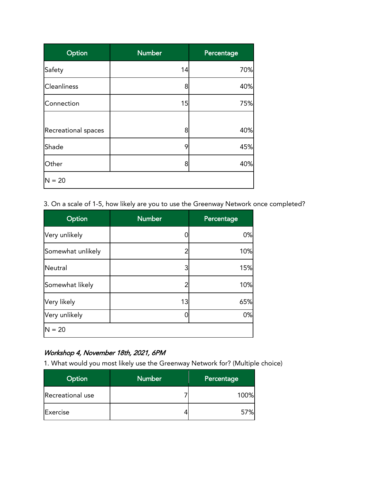| Option              | <b>Number</b> | Percentage |
|---------------------|---------------|------------|
| Safety              | 14            | 70%        |
| <b>Cleanliness</b>  | 8             | 40%        |
| Connection          | 15            | 75%        |
|                     |               |            |
| Recreational spaces | 8             | 40%        |
| Shade               | 9             | 45%        |
| Other               | 8             | 40%        |
| $N = 20$            |               |            |

3. On a scale of 1-5, how likely are you to use the Greenway Network once completed?

| Option            | <b>Number</b> | Percentage |
|-------------------|---------------|------------|
| Very unlikely     |               | 0%         |
| Somewhat unlikely |               | 10%        |
| Neutral           |               | 15%        |
| Somewhat likely   |               | 10%        |
| Very likely       | 13            | 65%        |
| Very unlikely     |               | 0%         |
| $N = 20$          |               |            |

## Workshop 4, November 18th, 2021, 6PM

1. What would you most likely use the Greenway Network for? (Multiple choice)

| Option           | <b>Number</b> | Percentage |
|------------------|---------------|------------|
| Recreational use |               | 100%       |
| Exercise         |               | 57%        |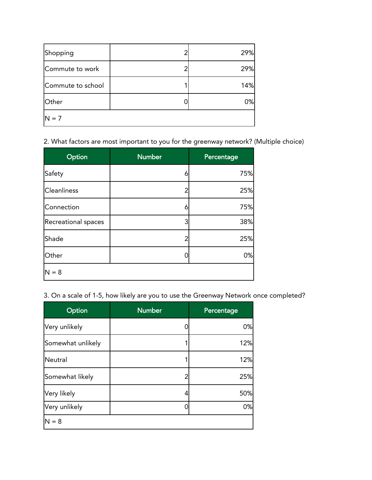| Shopping          |  | 29% |
|-------------------|--|-----|
| Commute to work   |  | 29% |
| Commute to school |  | 14% |
| Other             |  | 0%  |
| $N = 7$           |  |     |

2. What factors are most important to you for the greenway network? (Multiple choice)

| Option                     | <b>Number</b> | Percentage |
|----------------------------|---------------|------------|
| Safety                     | 6             | 75%        |
| <b>Cleanliness</b>         |               | 25%        |
| Connection                 | 6             | 75%        |
| <b>Recreational spaces</b> | 3             | 38%        |
| Shade                      | 2             | 25%        |
| Other                      |               | 0%         |
| $N = 8$                    |               |            |

3. On a scale of 1-5, how likely are you to use the Greenway Network once completed?

| Option            | <b>Number</b> | Percentage |
|-------------------|---------------|------------|
| Very unlikely     |               | 0%         |
| Somewhat unlikely |               | 12%        |
| Neutral           |               | 12%        |
| Somewhat likely   |               | 25%        |
| Very likely       |               | 50%        |
| Very unlikely     |               | 0%         |
| $N = 8$           |               |            |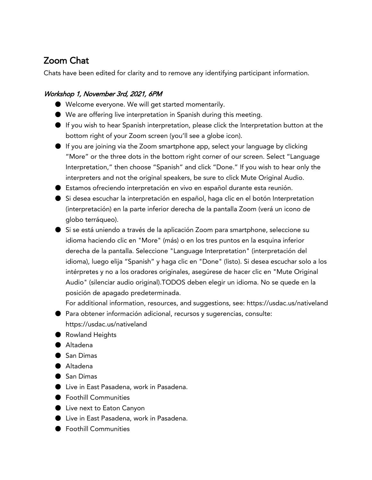## Zoom Chat

Chats have been edited for clarity and to remove any identifying participant information.

## Workshop 1, November 3rd, 2021, 6PM

- Welcome everyone. We will get started momentarily.
- We are offering live interpretation in Spanish during this meeting.
- If you wish to hear Spanish interpretation, please click the Interpretation button at the bottom right of your Zoom screen (you'll see a globe icon).
- If you are joining via the Zoom smartphone app, select your language by clicking "More" or the three dots in the bottom right corner of our screen. Select "Language Interpretation," then choose "Spanish" and click "Done." If you wish to hear only the interpreters and not the original speakers, be sure to click Mute Original Audio.
- Estamos ofreciendo interpretación en vivo en español durante esta reunión.
- Si desea escuchar la interpretación en español, haga clic en el botón Interpretation (interpretación) en la parte inferior derecha de la pantalla Zoom (verá un icono de globo terráqueo).
- Si se está uniendo a través de la aplicación Zoom para smartphone, seleccione su idioma haciendo clic en "More" (más) o en los tres puntos en la esquina inferior derecha de la pantalla. Seleccione "Language Interpretation" (interpretación del idioma), luego elija "Spanish" y haga clic en "Done" (listo). Si desea escuchar solo a los intérpretes y no a los oradores originales, asegúrese de hacer clic en "Mute Original Audio" (silenciar audio original).TODOS deben elegir un idioma. No se quede en la posición de apagado predeterminada.

For additional information, resources, and suggestions, see: https://usdac.us/nativeland

- Para obtener información adicional, recursos y sugerencias, consulte: https://usdac.us/nativeland
- Rowland Heights
- Altadena
- San Dimas
- Altadena
- San Dimas
- Live in East Pasadena, work in Pasadena.
- Foothill Communities
- Live next to Eaton Canyon
- Live in East Pasadena, work in Pasadena.
- Foothill Communities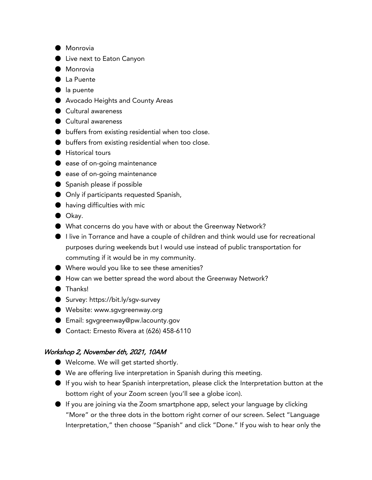- Monrovia
- Live next to Eaton Canyon
- Monrovia
- La Puente
- la puente
- Avocado Heights and County Areas
- Cultural awareness
- Cultural awareness
- buffers from existing residential when too close.
- buffers from existing residential when too close.
- Historical tours
- ease of on-going maintenance
- ease of on-going maintenance
- Spanish please if possible
- Only if participants requested Spanish,
- having difficulties with mic
- Okay.
- What concerns do you have with or about the Greenway Network?
- I live in Torrance and have a couple of children and think would use for recreational purposes during weekends but I would use instead of public transportation for commuting if it would be in my community.
- Where would you like to see these amenities?
- How can we better spread the word about the Greenway Network?
- Thanks!
- Survey: https://bit.ly/sgv-survey
- Website: www.sgvgreenway.org
- Email: sgvgreenway@pw.lacounty.gov
- Contact: Ernesto Rivera at (626) 458-6110

#### Workshop 2, November 6th, 2021, 10AM

- Welcome. We will get started shortly.
- We are offering live interpretation in Spanish during this meeting.
- If you wish to hear Spanish interpretation, please click the Interpretation button at the bottom right of your Zoom screen (you'll see a globe icon).
- If you are joining via the Zoom smartphone app, select your language by clicking "More" or the three dots in the bottom right corner of our screen. Select "Language Interpretation," then choose "Spanish" and click "Done." If you wish to hear only the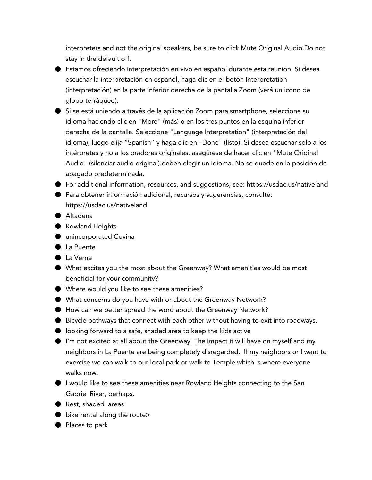interpreters and not the original speakers, be sure to click Mute Original Audio.Do not stay in the default off.

- Estamos ofreciendo interpretación en vivo en español durante esta reunión. Si desea escuchar la interpretación en español, haga clic en el botón Interpretation (interpretación) en la parte inferior derecha de la pantalla Zoom (verá un icono de globo terráqueo).
- Si se está uniendo a través de la aplicación Zoom para smartphone, seleccione su idioma haciendo clic en "More" (más) o en los tres puntos en la esquina inferior derecha de la pantalla. Seleccione "Language Interpretation" (interpretación del idioma), luego elija "Spanish" y haga clic en "Done" (listo). Si desea escuchar solo a los intérpretes y no a los oradores originales, asegúrese de hacer clic en "Mute Original Audio" (silenciar audio original).deben elegir un idioma. No se quede en la posición de apagado predeterminada.
- For additional information, resources, and suggestions, see: https://usdac.us/nativeland
- Para obtener información adicional, recursos y sugerencias, consulte: https://usdac.us/nativeland
- Altadena
- Rowland Heights
- unincorporated Covina
- La Puente
- La Verne
- What excites you the most about the Greenway? What amenities would be most beneficial for your community?
- Where would you like to see these amenities?
- What concerns do you have with or about the Greenway Network?
- How can we better spread the word about the Greenway Network?
- Bicycle pathways that connect with each other without having to exit into roadways.
- looking forward to a safe, shaded area to keep the kids active
- I'm not excited at all about the Greenway. The impact it will have on myself and my neighbors in La Puente are being completely disregarded. If my neighbors or I want to exercise we can walk to our local park or walk to Temple which is where everyone walks now.
- I would like to see these amenities near Rowland Heights connecting to the San Gabriel River, perhaps.
- Rest, shaded areas
- $\bullet$  bike rental along the route>
- Places to park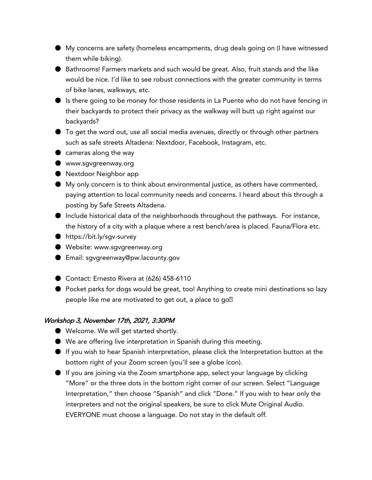- My concerns are safety (homeless encampments, drug deals going on (I have witnessed them while biking).
- Bathrooms! Farmers markets and such would be great. Also, fruit stands and the like would be nice. I'd like to see robust connections with the greater community in terms of bike lanes, walkways, etc.
- Is there going to be money for those residents in La Puente who do not have fencing in their backyards to protect their privacy as the walkway will butt up right against our backyards?
- To get the word out, use all social media avenues, directly or through other partners such as safe streets Altadena: Nextdoor, Facebook, Instagram, etc.
- cameras along the way
- www.sgvgreenway.org
- Nextdoor Neighbor app
- My only concern is to think about environmental justice, as others have commented, paying attention to local community needs and concerns. I heard about this through a posting by Safe Streets Altadena.
- Include historical data of the neighborhoods throughout the pathways. For instance, the history of a city with a plaque where a rest bench/area is placed. Fauna/Flora etc.
- https://bit.ly/sgv-survey
- Website: www.sgvgreenway.org
- Email: sgvgreenway@pw.lacounty.gov
- Contact: Ernesto Rivera at (626) 458-6110
- Pocket parks for dogs would be great, too! Anything to create mini destinations so lazy people like me are motivated to get out, a place to go<sup>n</sup>

## Workshop 3, November 17th, 2021, 3:30PM

- Welcome. We will get started shortly.
- We are offering live interpretation in Spanish during this meeting.
- If you wish to hear Spanish interpretation, please click the Interpretation button at the bottom right of your Zoom screen (you'll see a globe icon).
- $\bullet$  If you are joining via the Zoom smartphone app, select your language by clicking "More" or the three dots in the bottom right corner of our screen. Select "Language Interpretation," then choose "Spanish" and click "Done." If you wish to hear only the interpreters and not the original speakers, be sure to click Mute Original Audio. EVERYONE must choose a language. Do not stay in the default off.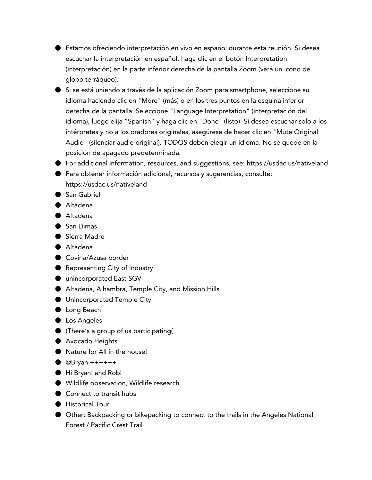- Estamos ofreciendo interpretación en vivo en español durante esta reunión. Si desea escuchar la interpretación en español, haga clic en el botón Interpretation (interpretación) en la parte inferior derecha de la pantalla Zoom (verá un icono de globo terráqueo).
- Si se está uniendo a través de la aplicación Zoom para smartphone, seleccione su idioma haciendo clic en "More" (más) o en los tres puntos en la esquina inferior derecha de la pantalla. Seleccione "Language Interpretation" (interpretación del idioma), luego elija "Spanish" y haga clic en "Done" (listo). Si desea escuchar solo a los intérpretes y no a los oradores originales, asegúrese de hacer clic en "Mute Original Audio" (silenciar audio original). TODOS deben elegir un idioma. No se quede en la posición de apagado predeterminada.
- For additional information, resources, and suggestions, see: https://usdac.us/nativeland
- Para obtener información adicional, recursos y sugerencias, consulte: https://usdac.us/nativeland
- San Gabriel
- Altadena
- Altadena
- San Dimas
- Sierra Madre
- Altadena
- Covina/Azusa border
- Representing City of Industry
- unincorporated East SGV
- Altadena, Alhambra, Temple City, and Mission Hills
- Unincorporated Temple City
- Long Beach
- Los Angeles
- (There's a group of us participating(
- Avocado Heights
- Nature for All in the house!
- $\bullet$  @Bryan +++++++
- Hi Bryan! and Rob!
- Wildlife observation, Wildlife research
- Connect to transit hubs
- Historical Tour
- Other: Backpacking or bikepacking to connect to the trails in the Angeles National Forest / Pacific Crest Trail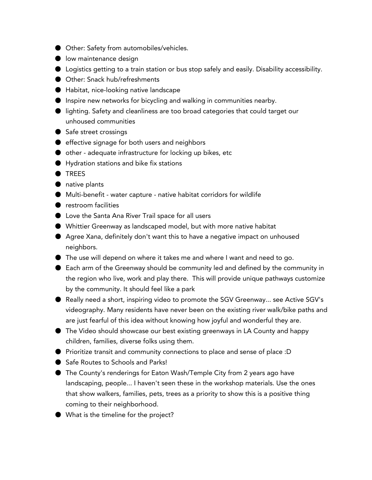- Other: Safety from automobiles/vehicles.
- low maintenance design
- Logistics getting to a train station or bus stop safely and easily. Disability accessibility.
- Other: Snack hub/refreshments
- Habitat, nice-looking native landscape
- Inspire new networks for bicycling and walking in communities nearby.
- lighting. Safety and cleanliness are too broad categories that could target our unhoused communities
- Safe street crossings
- effective signage for both users and neighbors
- other adequate infrastructure for locking up bikes, etc
- Hydration stations and bike fix stations
- TREES
- native plants
- Multi-benefit water capture native habitat corridors for wildlife
- restroom facilities
- Love the Santa Ana River Trail space for all users
- Whittier Greenway as landscaped model, but with more native habitat
- Agree Xana, definitely don't want this to have a negative impact on unhoused neighbors.
- The use will depend on where it takes me and where I want and need to go.
- Each arm of the Greenway should be community led and defined by the community in the region who live, work and play there. This will provide unique pathways customize by the community. It should feel like a park
- Really need a short, inspiring video to promote the SGV Greenway... see Active SGV's videography. Many residents have never been on the existing river walk/bike paths and are just fearful of this idea without knowing how joyful and wonderful they are.
- The Video should showcase our best existing greenways in LA County and happy children, families, diverse folks using them.
- Prioritize transit and community connections to place and sense of place :D
- Safe Routes to Schools and Parks!
- The County's renderings for Eaton Wash/Temple City from 2 years ago have landscaping, people... I haven't seen these in the workshop materials. Use the ones that show walkers, families, pets, trees as a priority to show this is a positive thing coming to their neighborhood.
- What is the timeline for the project?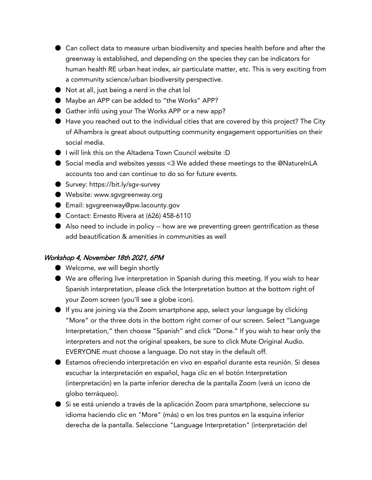- Can collect data to measure urban biodiversity and species health before and after the greenway is established, and depending on the species they can be indicators for human health RE urban heat index, air particulate matter, etc. This is very exciting from a community science/urban biodiversity perspective.
- Not at all, just being a nerd in the chat lol
- Maybe an APP can be added to "the Works" APP?
- Gather infö using your The Works APP or a new app?
- Have you reached out to the individual cities that are covered by this project? The City of Alhambra is great about outputting community engagement opportunities on their social media.
- I will link this on the Altadena Town Council website :D
- Social media and websites yessss <3 We added these meetings to the @NatureInLA accounts too and can continue to do so for future events.
- Survey: https://bit.ly/sgv-survey
- Website: www.sgvgreenway.org
- Email: sgvgreenway@pw.lacounty.gov
- Contact: Ernesto Rivera at (626) 458-6110
- Also need to include in policy -- how are we preventing green gentrification as these add beautification & amenities in communities as well

### Workshop 4, November 18th 2021, 6PM

- Welcome, we will begin shortly
- We are offering live interpretation in Spanish during this meeting. If you wish to hear Spanish interpretation, please click the Interpretation button at the bottom right of your Zoom screen (you'll see a globe icon).
- If you are joining via the Zoom smartphone app, select your language by clicking "More" or the three dots in the bottom right corner of our screen. Select "Language Interpretation," then choose "Spanish" and click "Done." If you wish to hear only the interpreters and not the original speakers, be sure to click Mute Original Audio. EVERYONE must choose a language. Do not stay in the default off.
- Estamos ofreciendo interpretación en vivo en español durante esta reunión. Si desea escuchar la interpretación en español, haga clic en el botón Interpretation (interpretación) en la parte inferior derecha de la pantalla Zoom (verá un icono de globo terráqueo).
- Si se está uniendo a través de la aplicación Zoom para smartphone, seleccione su idioma haciendo clic en "More" (más) o en los tres puntos en la esquina inferior derecha de la pantalla. Seleccione "Language Interpretation" (interpretación del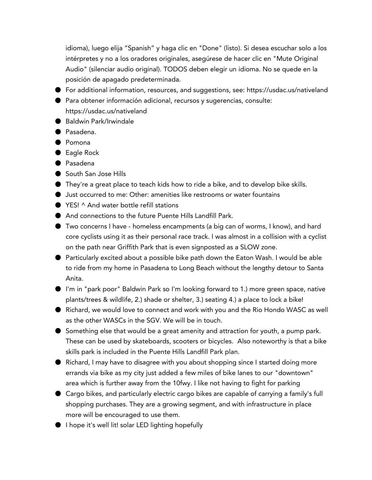idioma), luego elija "Spanish" y haga clic en "Done" (listo). Si desea escuchar solo a los intérpretes y no a los oradores originales, asegúrese de hacer clic en "Mute Original Audio" (silenciar audio original). TODOS deben elegir un idioma. No se quede en la posición de apagado predeterminada.

- For additional information, resources, and suggestions, see: https://usdac.us/nativeland
- Para obtener información adicional, recursos y sugerencias, consulte: https://usdac.us/nativeland
- Baldwin Park/Irwindale
- Pasadena.
- Pomona
- Eagle Rock
- Pasadena
- South San Jose Hills
- They're a great place to teach kids how to ride a bike, and to develop bike skills.
- Just occurred to me: Other: amenities like restrooms or water fountains
- YES! ^ And water bottle refill stations
- And connections to the future Puente Hills Landfill Park.
- Two concerns I have homeless encampments (a big can of worms, I know), and hard core cyclists using it as their personal race track. I was almost in a collision with a cyclist on the path near Griffith Park that is even signposted as a SLOW zone.
- Particularly excited about a possible bike path down the Eaton Wash. I would be able to ride from my home in Pasadena to Long Beach without the lengthy detour to Santa Anita.
- I'm in "park poor" Baldwin Park so I'm looking forward to 1.) more green space, native plants/trees & wildlife, 2.) shade or shelter, 3.) seating 4.) a place to lock a bike!
- Richard, we would love to connect and work with you and the Rio Hondo WASC as well as the other WASCs in the SGV. We will be in touch.
- Something else that would be a great amenity and attraction for youth, a pump park. These can be used by skateboards, scooters or bicycles. Also noteworthy is that a bike skills park is included in the Puente Hills Landfill Park plan.
- Richard, I may have to disagree with you about shopping since I started doing more errands via bike as my city just added a few miles of bike lanes to our "downtown" area which is further away from the 10fwy. I like not having to fight for parking
- Cargo bikes, and particularly electric cargo bikes are capable of carrying a family's full shopping purchases. They are a growing segment, and with infrastructure in place more will be encouraged to use them.
- I hope it's well lit! solar LED lighting hopefully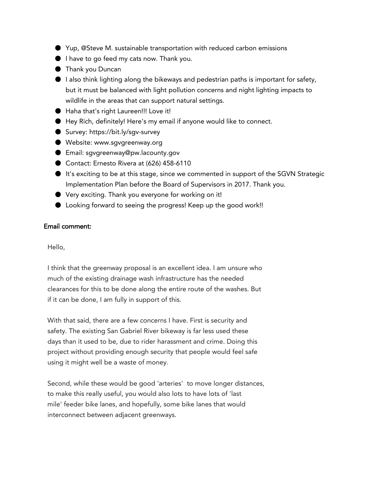- Yup, @Steve M. sustainable transportation with reduced carbon emissions
- I have to go feed my cats now. Thank you.
- Thank you Duncan
- I also think lighting along the bikeways and pedestrian paths is important for safety, but it must be balanced with light pollution concerns and night lighting impacts to wildlife in the areas that can support natural settings.
- Haha that's right Laureen!!! Love it!
- Hey Rich, definitely! Here's my email if anyone would like to connect.
- Survey: https://bit.ly/sqv-survey
- Website: www.sqvgreenway.org
- Email: sqvqreenway@pw.lacounty.qov
- Contact: Ernesto Rivera at (626) 458-6110
- It's exciting to be at this stage, since we commented in support of the SGVN Strategic Implementation Plan before the Board of Supervisors in 2017. Thank you.
- Very exciting. Thank you everyone for working on it!
- Looking forward to seeing the progress! Keep up the good work!!

#### Email comment:

Hello,

 I think that the greenway proposal is an excellent idea. I am unsure who much of the existing drainage wash infrastructure has the needed clearances for this to be done along the entire route of the washes. But if it can be done, I am fully in support of this.

 With that said, there are a few concerns I have. First is security and safety. The existing San Gabriel River bikeway is far less used these days than it used to be, due to rider harassment and crime. Doing this project without providing enough security that people would feel safe using it might well be a waste of money.

 Second, while these would be good 'arteries' to move longer distances, to make this really useful, you would also lots to have lots of 'last mile' feeder bike lanes, and hopefully, some bike lanes that would interconnect between adjacent greenways.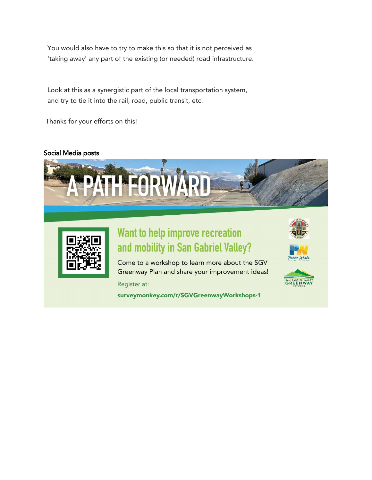You would also have to try to make this so that it is not perceived as 'taking away' any part of the existing (or needed) road infrastructure.

 Look at this as a synergistic part of the local transportation system, and try to tie it into the rail, road, public transit, etc.

Thanks for your efforts on this!

## Social Media posts





# Want to help improve recreation and mobility in San Gabriel Valley?

Come to a workshop to learn more about the SGV Greenway Plan and share your improvement ideas!

Register at:

surveymonkey.com/r/SGVGreenwayWorkshops-1